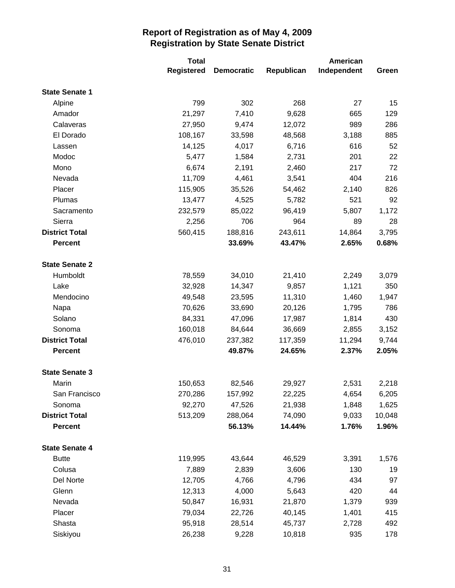|                       | <b>Total</b>      | American          |            |             |        |
|-----------------------|-------------------|-------------------|------------|-------------|--------|
|                       | <b>Registered</b> | <b>Democratic</b> | Republican | Independent | Green  |
| <b>State Senate 1</b> |                   |                   |            |             |        |
| Alpine                | 799               | 302               | 268        | 27          | 15     |
| Amador                | 21,297            | 7,410             | 9,628      | 665         | 129    |
| Calaveras             | 27,950            | 9,474             | 12,072     | 989         | 286    |
| El Dorado             | 108,167           | 33,598            | 48,568     | 3,188       | 885    |
| Lassen                | 14,125            | 4,017             | 6,716      | 616         | 52     |
| Modoc                 | 5,477             | 1,584             | 2,731      | 201         | 22     |
| Mono                  | 6,674             | 2,191             | 2,460      | 217         | 72     |
| Nevada                | 11,709            | 4,461             | 3,541      | 404         | 216    |
| Placer                | 115,905           | 35,526            | 54,462     | 2,140       | 826    |
| Plumas                | 13,477            | 4,525             | 5,782      | 521         | 92     |
| Sacramento            | 232,579           | 85,022            | 96,419     | 5,807       | 1,172  |
| Sierra                | 2,256             | 706               | 964        | 89          | 28     |
| <b>District Total</b> | 560,415           | 188,816           | 243,611    | 14,864      | 3,795  |
| <b>Percent</b>        |                   | 33.69%            | 43.47%     | 2.65%       | 0.68%  |
|                       |                   |                   |            |             |        |
| <b>State Senate 2</b> |                   |                   |            |             |        |
| Humboldt              | 78,559            | 34,010            | 21,410     | 2,249       | 3,079  |
| Lake                  | 32,928            | 14,347            | 9,857      | 1,121       | 350    |
| Mendocino             | 49,548            | 23,595            | 11,310     | 1,460       | 1,947  |
| Napa                  | 70,626            | 33,690            | 20,126     | 1,795       | 786    |
| Solano                | 84,331            | 47,096            | 17,987     | 1,814       | 430    |
| Sonoma                | 160,018           | 84,644            | 36,669     | 2,855       | 3,152  |
| <b>District Total</b> | 476,010           | 237,382           | 117,359    | 11,294      | 9,744  |
| <b>Percent</b>        |                   | 49.87%            | 24.65%     | 2.37%       | 2.05%  |
| <b>State Senate 3</b> |                   |                   |            |             |        |
| Marin                 | 150,653           | 82,546            | 29,927     | 2,531       | 2,218  |
| San Francisco         | 270,286           | 157,992           | 22,225     | 4,654       | 6,205  |
| Sonoma                | 92,270            | 47,526            | 21,938     | 1,848       | 1,625  |
| <b>District Total</b> | 513,209           | 288,064           | 74,090     | 9,033       | 10,048 |
| <b>Percent</b>        |                   | 56.13%            | 14.44%     | 1.76%       | 1.96%  |
| <b>State Senate 4</b> |                   |                   |            |             |        |
| <b>Butte</b>          | 119,995           | 43,644            | 46,529     | 3,391       | 1,576  |
| Colusa                | 7,889             | 2,839             | 3,606      | 130         | 19     |
| Del Norte             | 12,705            | 4,766             | 4,796      | 434         | 97     |
| Glenn                 | 12,313            | 4,000             | 5,643      | 420         | 44     |
| Nevada                | 50,847            | 16,931            | 21,870     | 1,379       | 939    |
| Placer                | 79,034            | 22,726            | 40,145     | 1,401       | 415    |
| Shasta                | 95,918            | 28,514            | 45,737     | 2,728       | 492    |
| Siskiyou              | 26,238            | 9,228             | 10,818     | 935         | 178    |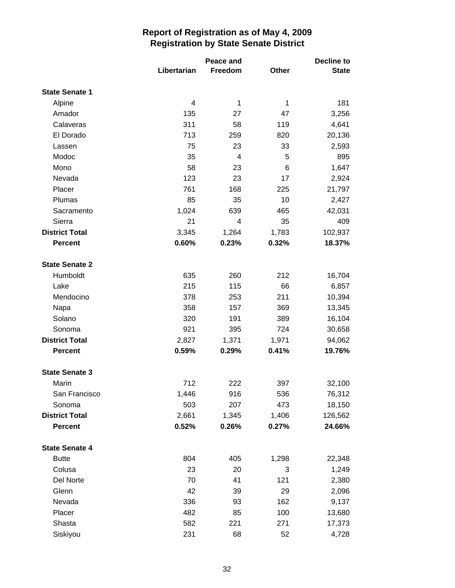|                       |             | Peace and |       |              |
|-----------------------|-------------|-----------|-------|--------------|
|                       | Libertarian | Freedom   | Other | <b>State</b> |
| <b>State Senate 1</b> |             |           |       |              |
| Alpine                | 4           | 1         | 1     | 181          |
| Amador                | 135         | 27        | 47    | 3,256        |
| Calaveras             | 311         | 58        | 119   | 4,641        |
| El Dorado             | 713         | 259       | 820   | 20,136       |
| Lassen                | 75          | 23        | 33    | 2,593        |
| Modoc                 | 35          | 4         | 5     | 895          |
| Mono                  | 58          | 23        | 6     | 1,647        |
| Nevada                | 123         | 23        | 17    | 2,924        |
| Placer                | 761         | 168       | 225   | 21,797       |
| Plumas                | 85          | 35        | 10    | 2,427        |
| Sacramento            | 1,024       | 639       | 465   | 42,031       |
| Sierra                | 21          | 4         | 35    | 409          |
| <b>District Total</b> | 3,345       | 1,264     | 1,783 | 102,937      |
| <b>Percent</b>        | 0.60%       | 0.23%     | 0.32% | 18.37%       |
| <b>State Senate 2</b> |             |           |       |              |
| Humboldt              | 635         | 260       | 212   | 16,704       |
| Lake                  | 215         | 115       | 66    | 6,857        |
| Mendocino             | 378         | 253       | 211   | 10,394       |
| Napa                  | 358         | 157       | 369   | 13,345       |
| Solano                | 320         | 191       | 389   | 16,104       |
| Sonoma                | 921         | 395       | 724   | 30,658       |
| <b>District Total</b> | 2,827       | 1,371     | 1,971 | 94,062       |
| <b>Percent</b>        | 0.59%       | 0.29%     | 0.41% | 19.76%       |
| <b>State Senate 3</b> |             |           |       |              |
| Marin                 | 712         | 222       | 397   | 32,100       |
| San Francisco         | 1,446       | 916       | 536   | 76,312       |
| Sonoma                | 503         | 207       | 473   | 18,150       |
| <b>District Total</b> | 2,661       | 1,345     | 1,406 | 126,562      |
| <b>Percent</b>        | 0.52%       | 0.26%     | 0.27% | 24.66%       |
| <b>State Senate 4</b> |             |           |       |              |
| <b>Butte</b>          | 804         | 405       | 1,298 | 22,348       |
| Colusa                | 23          | 20        | 3     | 1,249        |
| Del Norte             | 70          | 41        | 121   | 2,380        |
| Glenn                 | 42          | 39        | 29    | 2,096        |
| Nevada                | 336         | 93        | 162   | 9,137        |
| Placer                | 482         | 85        | 100   | 13,680       |
| Shasta                | 582         | 221       | 271   | 17,373       |
| Siskiyou              | 231         | 68        | 52    | 4,728        |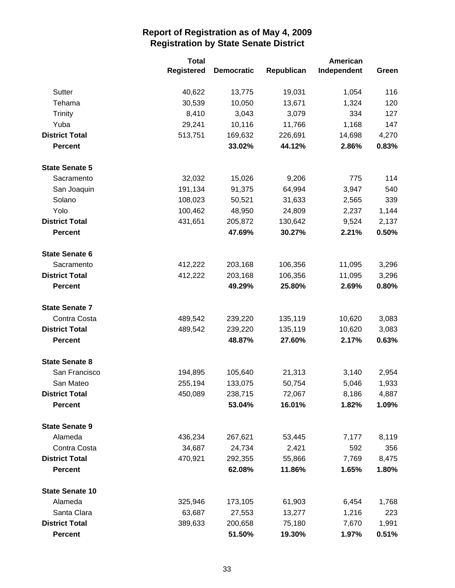|                        | <b>Total</b>      | American          |            |             |       |
|------------------------|-------------------|-------------------|------------|-------------|-------|
|                        | <b>Registered</b> | <b>Democratic</b> | Republican | Independent | Green |
| Sutter                 | 40,622            | 13,775            | 19,031     | 1,054       | 116   |
| Tehama                 | 30,539            | 10,050            | 13,671     | 1,324       | 120   |
| <b>Trinity</b>         | 8,410             | 3,043             | 3,079      | 334         | 127   |
| Yuba                   | 29,241            | 10,116            | 11,766     | 1,168       | 147   |
| <b>District Total</b>  | 513,751           | 169,632           | 226,691    | 14,698      | 4,270 |
| <b>Percent</b>         |                   | 33.02%            | 44.12%     | 2.86%       | 0.83% |
| <b>State Senate 5</b>  |                   |                   |            |             |       |
| Sacramento             | 32,032            | 15,026            | 9,206      | 775         | 114   |
| San Joaquin            | 191,134           | 91,375            | 64,994     | 3,947       | 540   |
| Solano                 | 108,023           | 50,521            | 31,633     | 2,565       | 339   |
| Yolo                   | 100,462           | 48,950            | 24,809     | 2,237       | 1,144 |
| <b>District Total</b>  | 431,651           | 205,872           | 130,642    | 9,524       | 2,137 |
| <b>Percent</b>         |                   | 47.69%            | 30.27%     | 2.21%       | 0.50% |
| <b>State Senate 6</b>  |                   |                   |            |             |       |
| Sacramento             | 412,222           | 203,168           | 106,356    | 11,095      | 3,296 |
| <b>District Total</b>  | 412,222           | 203,168           | 106,356    | 11,095      | 3,296 |
| <b>Percent</b>         |                   | 49.29%            | 25.80%     | 2.69%       | 0.80% |
| <b>State Senate 7</b>  |                   |                   |            |             |       |
| Contra Costa           | 489,542           | 239,220           | 135,119    | 10,620      | 3,083 |
| <b>District Total</b>  | 489,542           | 239,220           | 135,119    | 10,620      | 3,083 |
| <b>Percent</b>         |                   | 48.87%            | 27.60%     | 2.17%       | 0.63% |
| <b>State Senate 8</b>  |                   |                   |            |             |       |
| San Francisco          | 194,895           | 105,640           | 21,313     | 3,140       | 2,954 |
| San Mateo              | 255,194           | 133,075           | 50,754     | 5,046       | 1,933 |
| <b>District Total</b>  | 450,089           | 238,715           | 72,067     | 8,186       | 4,887 |
| <b>Percent</b>         |                   | 53.04%            | 16.01%     | 1.82%       | 1.09% |
| <b>State Senate 9</b>  |                   |                   |            |             |       |
| Alameda                | 436,234           | 267,621           | 53,445     | 7,177       | 8,119 |
| Contra Costa           | 34,687            | 24,734            | 2,421      | 592         | 356   |
| <b>District Total</b>  | 470,921           | 292,355           | 55,866     | 7,769       | 8,475 |
| <b>Percent</b>         |                   | 62.08%            | 11.86%     | 1.65%       | 1.80% |
| <b>State Senate 10</b> |                   |                   |            |             |       |
| Alameda                | 325,946           | 173,105           | 61,903     | 6,454       | 1,768 |
| Santa Clara            | 63,687            | 27,553            | 13,277     | 1,216       | 223   |
| <b>District Total</b>  | 389,633           | 200,658           | 75,180     | 7,670       | 1,991 |
| <b>Percent</b>         |                   | 51.50%            | 19.30%     | 1.97%       | 0.51% |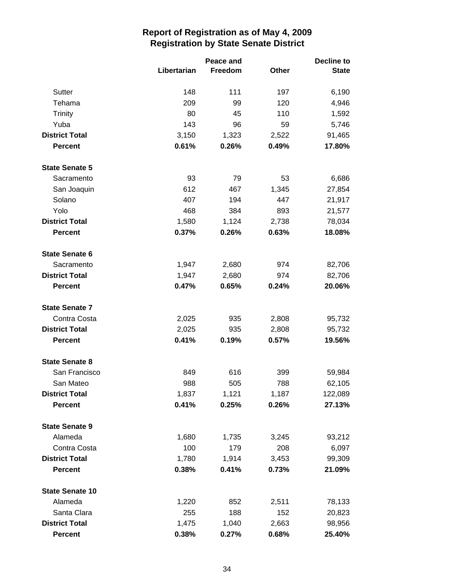|                        |             | Peace and |       |              |
|------------------------|-------------|-----------|-------|--------------|
|                        | Libertarian | Freedom   | Other | <b>State</b> |
| Sutter                 | 148         | 111       | 197   | 6,190        |
| Tehama                 | 209         | 99        | 120   | 4,946        |
| <b>Trinity</b>         | 80          | 45        | 110   | 1,592        |
| Yuba                   | 143         | 96        | 59    | 5,746        |
| <b>District Total</b>  | 3,150       | 1,323     | 2,522 | 91,465       |
| <b>Percent</b>         | 0.61%       | 0.26%     | 0.49% | 17.80%       |
| <b>State Senate 5</b>  |             |           |       |              |
| Sacramento             | 93          | 79        | 53    | 6,686        |
| San Joaquin            | 612         | 467       | 1,345 | 27,854       |
| Solano                 | 407         | 194       | 447   | 21,917       |
| Yolo                   | 468         | 384       | 893   | 21,577       |
| <b>District Total</b>  | 1,580       | 1,124     | 2,738 | 78,034       |
| <b>Percent</b>         | 0.37%       | 0.26%     | 0.63% | 18.08%       |
| <b>State Senate 6</b>  |             |           |       |              |
| Sacramento             | 1,947       | 2,680     | 974   | 82,706       |
| <b>District Total</b>  | 1,947       | 2,680     | 974   | 82,706       |
| <b>Percent</b>         | 0.47%       | 0.65%     | 0.24% | 20.06%       |
| <b>State Senate 7</b>  |             |           |       |              |
| Contra Costa           | 2,025       | 935       | 2,808 | 95,732       |
| <b>District Total</b>  | 2,025       | 935       | 2,808 | 95,732       |
| <b>Percent</b>         | 0.41%       | 0.19%     | 0.57% | 19.56%       |
| <b>State Senate 8</b>  |             |           |       |              |
| San Francisco          | 849         | 616       | 399   | 59,984       |
| San Mateo              | 988         | 505       | 788   | 62,105       |
| <b>District Total</b>  | 1,837       | 1,121     | 1,187 | 122,089      |
| <b>Percent</b>         | 0.41%       | 0.25%     | 0.26% | 27.13%       |
| <b>State Senate 9</b>  |             |           |       |              |
| Alameda                | 1,680       | 1,735     | 3,245 | 93,212       |
| Contra Costa           | 100         | 179       | 208   | 6,097        |
| <b>District Total</b>  | 1,780       | 1,914     | 3,453 | 99,309       |
| <b>Percent</b>         | 0.38%       | 0.41%     | 0.73% | 21.09%       |
| <b>State Senate 10</b> |             |           |       |              |
| Alameda                | 1,220       | 852       | 2,511 | 78,133       |
| Santa Clara            | 255         | 188       | 152   | 20,823       |
| <b>District Total</b>  | 1,475       | 1,040     | 2,663 | 98,956       |
| <b>Percent</b>         | 0.38%       | 0.27%     | 0.68% | 25.40%       |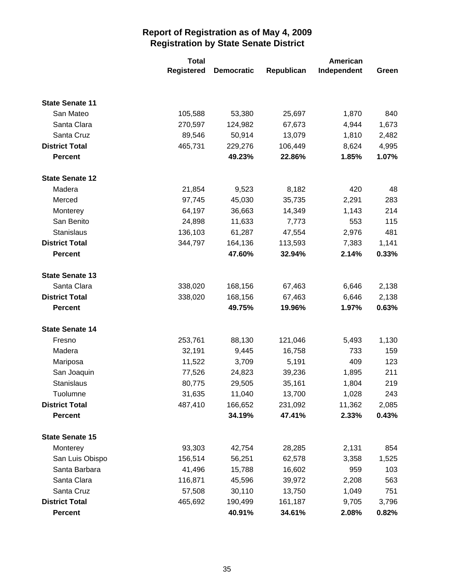|                        | <b>Total</b>      | American          |            |             |       |
|------------------------|-------------------|-------------------|------------|-------------|-------|
|                        | <b>Registered</b> | <b>Democratic</b> | Republican | Independent | Green |
|                        |                   |                   |            |             |       |
| <b>State Senate 11</b> |                   |                   |            |             |       |
| San Mateo              | 105,588           | 53,380            | 25,697     | 1,870       | 840   |
| Santa Clara            | 270,597           | 124,982           | 67,673     | 4,944       | 1,673 |
| Santa Cruz             | 89,546            | 50,914            | 13,079     | 1,810       | 2,482 |
| <b>District Total</b>  | 465,731           | 229,276           | 106,449    | 8,624       | 4,995 |
| <b>Percent</b>         |                   | 49.23%            | 22.86%     | 1.85%       | 1.07% |
| <b>State Senate 12</b> |                   |                   |            |             |       |
| Madera                 | 21,854            | 9,523             | 8,182      | 420         | 48    |
| Merced                 | 97,745            | 45,030            | 35,735     | 2,291       | 283   |
| Monterey               | 64,197            | 36,663            | 14,349     | 1,143       | 214   |
| San Benito             | 24,898            | 11,633            | 7,773      | 553         | 115   |
| Stanislaus             | 136,103           | 61,287            | 47,554     | 2,976       | 481   |
| <b>District Total</b>  | 344,797           | 164,136           | 113,593    | 7,383       | 1,141 |
| <b>Percent</b>         |                   | 47.60%            | 32.94%     | 2.14%       | 0.33% |
| <b>State Senate 13</b> |                   |                   |            |             |       |
| Santa Clara            | 338,020           | 168,156           | 67,463     | 6,646       | 2,138 |
| <b>District Total</b>  | 338,020           | 168,156           | 67,463     | 6,646       | 2,138 |
| <b>Percent</b>         |                   | 49.75%            | 19.96%     | 1.97%       | 0.63% |
| <b>State Senate 14</b> |                   |                   |            |             |       |
| Fresno                 | 253,761           | 88,130            | 121,046    | 5,493       | 1,130 |
| Madera                 | 32,191            | 9,445             | 16,758     | 733         | 159   |
| Mariposa               | 11,522            | 3,709             | 5,191      | 409         | 123   |
| San Joaquin            | 77,526            | 24,823            | 39,236     | 1,895       | 211   |
| Stanislaus             | 80,775            | 29,505            | 35,161     | 1,804       | 219   |
| Tuolumne               | 31,635            | 11,040            | 13,700     | 1,028       | 243   |
| <b>District Total</b>  | 487,410           | 166,652           | 231,092    | 11,362      | 2,085 |
| <b>Percent</b>         |                   | 34.19%            | 47.41%     | 2.33%       | 0.43% |
| <b>State Senate 15</b> |                   |                   |            |             |       |
| Monterey               | 93,303            | 42,754            | 28,285     | 2,131       | 854   |
| San Luis Obispo        | 156,514           | 56,251            | 62,578     | 3,358       | 1,525 |
| Santa Barbara          | 41,496            | 15,788            | 16,602     | 959         | 103   |
| Santa Clara            | 116,871           | 45,596            | 39,972     | 2,208       | 563   |
| Santa Cruz             | 57,508            | 30,110            | 13,750     | 1,049       | 751   |
| <b>District Total</b>  | 465,692           | 190,499           | 161,187    | 9,705       | 3,796 |
| <b>Percent</b>         |                   | 40.91%            | 34.61%     | 2.08%       | 0.82% |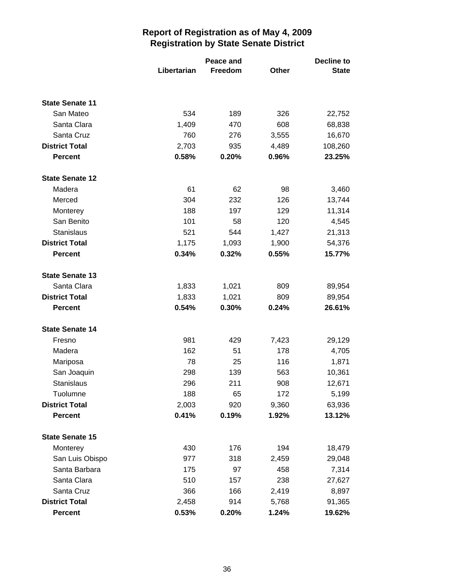|                                     |             | Peace and |              |                  |
|-------------------------------------|-------------|-----------|--------------|------------------|
|                                     | Libertarian | Freedom   | <b>Other</b> | <b>State</b>     |
|                                     |             |           |              |                  |
| <b>State Senate 11</b><br>San Mateo | 534         | 189       | 326          |                  |
| Santa Clara                         | 1,409       | 470       | 608          | 22,752           |
| Santa Cruz                          | 760         | 276       | 3,555        | 68,838<br>16,670 |
| <b>District Total</b>               | 2,703       | 935       | 4,489        | 108,260          |
| <b>Percent</b>                      | 0.58%       | 0.20%     | 0.96%        | 23.25%           |
| <b>State Senate 12</b>              |             |           |              |                  |
| Madera                              | 61          | 62        | 98           | 3,460            |
| Merced                              | 304         | 232       | 126          | 13,744           |
| Monterey                            | 188         | 197       | 129          | 11,314           |
| San Benito                          | 101         | 58        | 120          | 4,545            |
| <b>Stanislaus</b>                   | 521         | 544       | 1,427        | 21,313           |
| <b>District Total</b>               | 1,175       | 1,093     | 1,900        | 54,376           |
| <b>Percent</b>                      | 0.34%       | 0.32%     | 0.55%        | 15.77%           |
| <b>State Senate 13</b>              |             |           |              |                  |
| Santa Clara                         | 1,833       | 1,021     | 809          | 89,954           |
| <b>District Total</b>               | 1,833       | 1,021     | 809          | 89,954           |
| <b>Percent</b>                      | 0.54%       | 0.30%     | 0.24%        | 26.61%           |
| <b>State Senate 14</b>              |             |           |              |                  |
| Fresno                              | 981         | 429       | 7,423        | 29,129           |
| Madera                              | 162         | 51        | 178          | 4,705            |
| Mariposa                            | 78          | 25        | 116          | 1,871            |
| San Joaquin                         | 298         | 139       | 563          | 10,361           |
| Stanislaus                          | 296         | 211       | 908          | 12,671           |
| Tuolumne                            | 188         | 65        | 172          | 5,199            |
| <b>District Total</b>               | 2,003       | 920       | 9,360        | 63,936           |
| <b>Percent</b>                      | 0.41%       | 0.19%     | 1.92%        | 13.12%           |
| <b>State Senate 15</b>              |             |           |              |                  |
| Monterey                            | 430         | 176       | 194          | 18,479           |
| San Luis Obispo                     | 977         | 318       | 2,459        | 29,048           |
| Santa Barbara                       | 175         | 97        | 458          | 7,314            |
| Santa Clara                         | 510         | 157       | 238          | 27,627           |
| Santa Cruz                          | 366         | 166       | 2,419        | 8,897            |
| <b>District Total</b>               | 2,458       | 914       | 5,768        | 91,365           |
| <b>Percent</b>                      | 0.53%       | 0.20%     | 1.24%        | 19.62%           |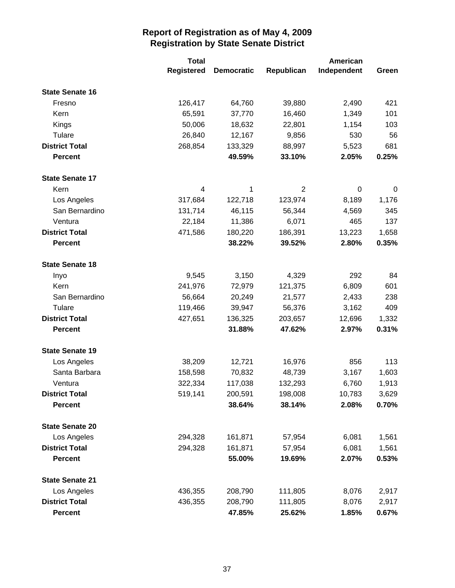|                        | <b>Total</b> |                   |                | American    |       |
|------------------------|--------------|-------------------|----------------|-------------|-------|
|                        | Registered   | <b>Democratic</b> | Republican     | Independent | Green |
| <b>State Senate 16</b> |              |                   |                |             |       |
| Fresno                 | 126,417      | 64,760            | 39,880         | 2,490       | 421   |
| Kern                   | 65,591       | 37,770            | 16,460         | 1,349       | 101   |
| Kings                  | 50,006       | 18,632            | 22,801         | 1,154       | 103   |
| Tulare                 | 26,840       | 12,167            | 9,856          | 530         | 56    |
| <b>District Total</b>  | 268,854      | 133,329           | 88,997         | 5,523       | 681   |
| <b>Percent</b>         |              | 49.59%            | 33.10%         | 2.05%       | 0.25% |
| <b>State Senate 17</b> |              |                   |                |             |       |
| Kern                   | 4            | 1                 | $\overline{2}$ | $\mathbf 0$ | 0     |
| Los Angeles            | 317,684      | 122,718           | 123,974        | 8,189       | 1,176 |
| San Bernardino         | 131,714      | 46,115            | 56,344         | 4,569       | 345   |
| Ventura                | 22,184       | 11,386            | 6,071          | 465         | 137   |
| <b>District Total</b>  | 471,586      | 180,220           | 186,391        | 13,223      | 1,658 |
| <b>Percent</b>         |              | 38.22%            | 39.52%         | 2.80%       | 0.35% |
| <b>State Senate 18</b> |              |                   |                |             |       |
| Inyo                   | 9,545        | 3,150             | 4,329          | 292         | 84    |
| Kern                   | 241,976      | 72,979            | 121,375        | 6,809       | 601   |
| San Bernardino         | 56,664       | 20,249            | 21,577         | 2,433       | 238   |
| Tulare                 | 119,466      | 39,947            | 56,376         | 3,162       | 409   |
| <b>District Total</b>  | 427,651      | 136,325           | 203,657        | 12,696      | 1,332 |
| <b>Percent</b>         |              | 31.88%            | 47.62%         | 2.97%       | 0.31% |
| <b>State Senate 19</b> |              |                   |                |             |       |
| Los Angeles            | 38,209       | 12,721            | 16,976         | 856         | 113   |
| Santa Barbara          | 158,598      | 70,832            | 48,739         | 3,167       | 1,603 |
| Ventura                | 322,334      | 117,038           | 132,293        | 6,760       | 1,913 |
| <b>District Total</b>  | 519,141      | 200,591           | 198,008        | 10,783      | 3,629 |
| <b>Percent</b>         |              | 38.64%            | 38.14%         | 2.08%       | 0.70% |
| <b>State Senate 20</b> |              |                   |                |             |       |
| Los Angeles            | 294,328      | 161,871           | 57,954         | 6,081       | 1,561 |
| <b>District Total</b>  | 294,328      | 161,871           | 57,954         | 6,081       | 1,561 |
| <b>Percent</b>         |              | 55.00%            | 19.69%         | 2.07%       | 0.53% |
| <b>State Senate 21</b> |              |                   |                |             |       |
| Los Angeles            | 436,355      | 208,790           | 111,805        | 8,076       | 2,917 |
| <b>District Total</b>  | 436,355      | 208,790           | 111,805        | 8,076       | 2,917 |
| <b>Percent</b>         |              | 47.85%            | 25.62%         | 1.85%       | 0.67% |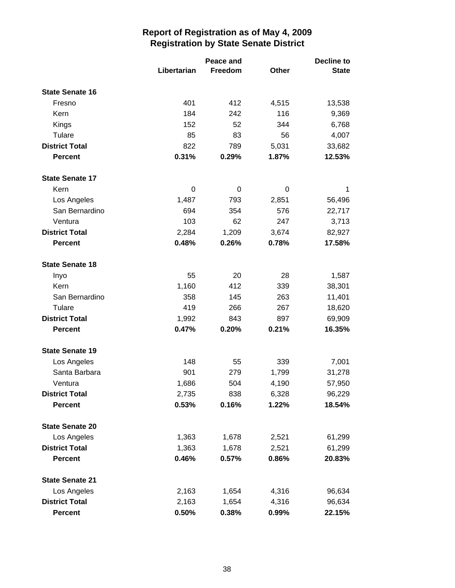|                        |             | Peace and |       | <b>Decline to</b> |  |
|------------------------|-------------|-----------|-------|-------------------|--|
|                        | Libertarian | Freedom   | Other | <b>State</b>      |  |
| <b>State Senate 16</b> |             |           |       |                   |  |
| Fresno                 | 401         | 412       | 4,515 | 13,538            |  |
| Kern                   | 184         | 242       | 116   | 9,369             |  |
| Kings                  | 152         | 52        | 344   | 6,768             |  |
| Tulare                 | 85          | 83        | 56    | 4,007             |  |
| <b>District Total</b>  | 822         | 789       | 5,031 | 33,682            |  |
| <b>Percent</b>         | 0.31%       | 0.29%     | 1.87% | 12.53%            |  |
| <b>State Senate 17</b> |             |           |       |                   |  |
| Kern                   | 0           | 0         | 0     | 1                 |  |
| Los Angeles            | 1,487       | 793       | 2,851 | 56,496            |  |
| San Bernardino         | 694         | 354       | 576   | 22,717            |  |
| Ventura                | 103         | 62        | 247   | 3,713             |  |
| <b>District Total</b>  | 2,284       | 1,209     | 3,674 | 82,927            |  |
| <b>Percent</b>         | 0.48%       | 0.26%     | 0.78% | 17.58%            |  |
| <b>State Senate 18</b> |             |           |       |                   |  |
| Inyo                   | 55          | 20        | 28    | 1,587             |  |
| Kern                   | 1,160       | 412       | 339   | 38,301            |  |
| San Bernardino         | 358         | 145       | 263   | 11,401            |  |
| Tulare                 | 419         | 266       | 267   | 18,620            |  |
| <b>District Total</b>  | 1,992       | 843       | 897   | 69,909            |  |
| <b>Percent</b>         | 0.47%       | 0.20%     | 0.21% | 16.35%            |  |
| <b>State Senate 19</b> |             |           |       |                   |  |
| Los Angeles            | 148         | 55        | 339   | 7,001             |  |
| Santa Barbara          | 901         | 279       | 1,799 | 31,278            |  |
| Ventura                | 1,686       | 504       | 4,190 | 57,950            |  |
| <b>District Total</b>  | 2,735       | 838       | 6,328 | 96,229            |  |
| <b>Percent</b>         | 0.53%       | 0.16%     | 1.22% | 18.54%            |  |
| <b>State Senate 20</b> |             |           |       |                   |  |
| Los Angeles            | 1,363       | 1,678     | 2,521 | 61,299            |  |
| <b>District Total</b>  | 1,363       | 1,678     | 2,521 | 61,299            |  |
| <b>Percent</b>         | 0.46%       | 0.57%     | 0.86% | 20.83%            |  |
| <b>State Senate 21</b> |             |           |       |                   |  |
| Los Angeles            | 2,163       | 1,654     | 4,316 | 96,634            |  |
| <b>District Total</b>  | 2,163       | 1,654     | 4,316 | 96,634            |  |
| <b>Percent</b>         | 0.50%       | 0.38%     | 0.99% | 22.15%            |  |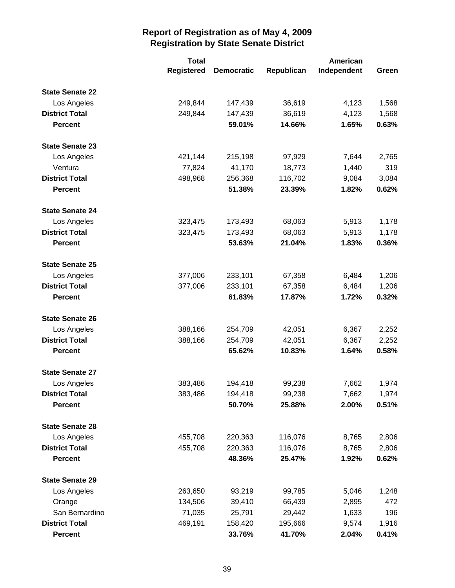|                        | <b>Total</b>      |                   |            | American    |       |
|------------------------|-------------------|-------------------|------------|-------------|-------|
|                        | <b>Registered</b> | <b>Democratic</b> | Republican | Independent | Green |
| <b>State Senate 22</b> |                   |                   |            |             |       |
| Los Angeles            | 249,844           | 147,439           | 36,619     | 4,123       | 1,568 |
| <b>District Total</b>  | 249,844           | 147,439           | 36,619     | 4,123       | 1,568 |
| <b>Percent</b>         |                   | 59.01%            | 14.66%     | 1.65%       | 0.63% |
| <b>State Senate 23</b> |                   |                   |            |             |       |
| Los Angeles            | 421,144           | 215,198           | 97,929     | 7,644       | 2,765 |
| Ventura                | 77,824            | 41,170            | 18,773     | 1,440       | 319   |
| <b>District Total</b>  | 498,968           | 256,368           | 116,702    | 9,084       | 3,084 |
| <b>Percent</b>         |                   | 51.38%            | 23.39%     | 1.82%       | 0.62% |
| <b>State Senate 24</b> |                   |                   |            |             |       |
| Los Angeles            | 323,475           | 173,493           | 68,063     | 5,913       | 1,178 |
| <b>District Total</b>  | 323,475           | 173,493           | 68,063     | 5,913       | 1,178 |
| <b>Percent</b>         |                   | 53.63%            | 21.04%     | 1.83%       | 0.36% |
| <b>State Senate 25</b> |                   |                   |            |             |       |
| Los Angeles            | 377,006           | 233,101           | 67,358     | 6,484       | 1,206 |
| <b>District Total</b>  | 377,006           | 233,101           | 67,358     | 6,484       | 1,206 |
| <b>Percent</b>         |                   | 61.83%            | 17.87%     | 1.72%       | 0.32% |
| <b>State Senate 26</b> |                   |                   |            |             |       |
| Los Angeles            | 388,166           | 254,709           | 42,051     | 6,367       | 2,252 |
| <b>District Total</b>  | 388,166           | 254,709           | 42,051     | 6,367       | 2,252 |
| <b>Percent</b>         |                   | 65.62%            | 10.83%     | 1.64%       | 0.58% |
| <b>State Senate 27</b> |                   |                   |            |             |       |
| Los Angeles            | 383,486           | 194,418           | 99,238     | 7,662       | 1,974 |
| <b>District Total</b>  | 383,486           | 194,418           | 99,238     | 7,662       | 1,974 |
| <b>Percent</b>         |                   | 50.70%            | 25.88%     | 2.00%       | 0.51% |
| <b>State Senate 28</b> |                   |                   |            |             |       |
| Los Angeles            | 455,708           | 220,363           | 116,076    | 8,765       | 2,806 |
| <b>District Total</b>  | 455,708           | 220,363           | 116,076    | 8,765       | 2,806 |
| <b>Percent</b>         |                   | 48.36%            | 25.47%     | 1.92%       | 0.62% |
| <b>State Senate 29</b> |                   |                   |            |             |       |
| Los Angeles            | 263,650           | 93,219            | 99,785     | 5,046       | 1,248 |
| Orange                 | 134,506           | 39,410            | 66,439     | 2,895       | 472   |
| San Bernardino         | 71,035            | 25,791            | 29,442     | 1,633       | 196   |
| <b>District Total</b>  | 469,191           | 158,420           | 195,666    | 9,574       | 1,916 |
| <b>Percent</b>         |                   | 33.76%            | 41.70%     | 2.04%       | 0.41% |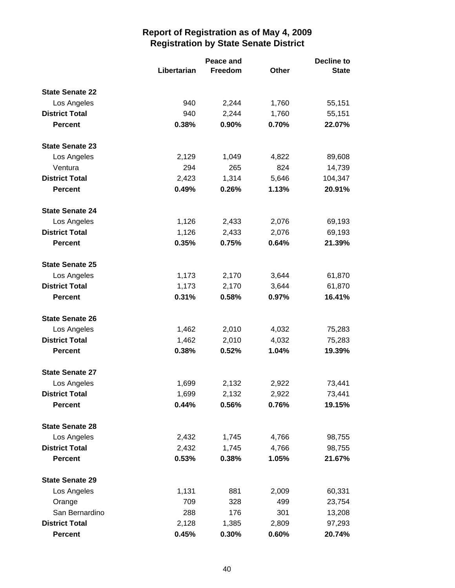|                        |             | Peace and |              |              |
|------------------------|-------------|-----------|--------------|--------------|
|                        | Libertarian | Freedom   | <b>Other</b> | <b>State</b> |
| <b>State Senate 22</b> |             |           |              |              |
| Los Angeles            | 940         | 2,244     | 1,760        | 55,151       |
| <b>District Total</b>  | 940         | 2,244     | 1,760        | 55,151       |
| <b>Percent</b>         | 0.38%       | 0.90%     | 0.70%        | 22.07%       |
| <b>State Senate 23</b> |             |           |              |              |
| Los Angeles            | 2,129       | 1,049     | 4,822        | 89,608       |
| Ventura                | 294         | 265       | 824          | 14,739       |
| <b>District Total</b>  | 2,423       | 1,314     | 5,646        | 104,347      |
| <b>Percent</b>         | 0.49%       | 0.26%     | 1.13%        | 20.91%       |
| <b>State Senate 24</b> |             |           |              |              |
| Los Angeles            | 1,126       | 2,433     | 2,076        | 69,193       |
| <b>District Total</b>  | 1,126       | 2,433     | 2,076        | 69,193       |
| <b>Percent</b>         | 0.35%       | 0.75%     | 0.64%        | 21.39%       |
| <b>State Senate 25</b> |             |           |              |              |
| Los Angeles            | 1,173       | 2,170     | 3,644        | 61,870       |
| <b>District Total</b>  | 1,173       | 2,170     | 3,644        | 61,870       |
| <b>Percent</b>         | 0.31%       | 0.58%     | 0.97%        | 16.41%       |
| <b>State Senate 26</b> |             |           |              |              |
| Los Angeles            | 1,462       | 2,010     | 4,032        | 75,283       |
| <b>District Total</b>  | 1,462       | 2,010     | 4,032        | 75,283       |
| <b>Percent</b>         | 0.38%       | 0.52%     | 1.04%        | 19.39%       |
| <b>State Senate 27</b> |             |           |              |              |
| Los Angeles            | 1,699       | 2,132     | 2,922        | 73,441       |
| <b>District Total</b>  | 1,699       | 2,132     | 2,922        | 73,441       |
| <b>Percent</b>         | 0.44%       | 0.56%     | 0.76%        | 19.15%       |
| <b>State Senate 28</b> |             |           |              |              |
| Los Angeles            | 2,432       | 1,745     | 4,766        | 98,755       |
| <b>District Total</b>  | 2,432       | 1,745     | 4,766        | 98,755       |
| <b>Percent</b>         | 0.53%       | 0.38%     | 1.05%        | 21.67%       |
| <b>State Senate 29</b> |             |           |              |              |
| Los Angeles            | 1,131       | 881       | 2,009        | 60,331       |
| Orange                 | 709         | 328       | 499          | 23,754       |
| San Bernardino         | 288         | 176       | 301          | 13,208       |
| <b>District Total</b>  | 2,128       | 1,385     | 2,809        | 97,293       |
| <b>Percent</b>         | 0.45%       | 0.30%     | 0.60%        | 20.74%       |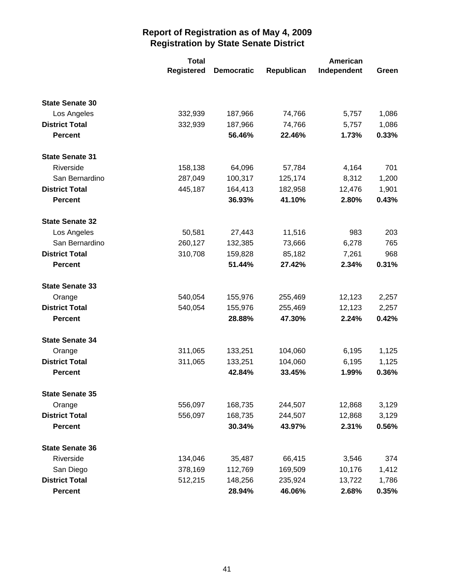|                        | <b>Total</b>      |                   |            | American    |       |
|------------------------|-------------------|-------------------|------------|-------------|-------|
|                        | <b>Registered</b> | <b>Democratic</b> | Republican | Independent | Green |
|                        |                   |                   |            |             |       |
| <b>State Senate 30</b> |                   |                   |            |             |       |
| Los Angeles            | 332,939           | 187,966           | 74,766     | 5,757       | 1,086 |
| <b>District Total</b>  | 332,939           | 187,966           | 74,766     | 5,757       | 1,086 |
| <b>Percent</b>         |                   | 56.46%            | 22.46%     | 1.73%       | 0.33% |
| <b>State Senate 31</b> |                   |                   |            |             |       |
| Riverside              | 158,138           | 64,096            | 57,784     | 4,164       | 701   |
| San Bernardino         | 287,049           | 100,317           | 125,174    | 8,312       | 1,200 |
| <b>District Total</b>  | 445,187           | 164,413           | 182,958    | 12,476      | 1,901 |
| <b>Percent</b>         |                   | 36.93%            | 41.10%     | 2.80%       | 0.43% |
| <b>State Senate 32</b> |                   |                   |            |             |       |
| Los Angeles            | 50,581            | 27,443            | 11,516     | 983         | 203   |
| San Bernardino         | 260,127           | 132,385           | 73,666     | 6,278       | 765   |
| <b>District Total</b>  | 310,708           | 159,828           | 85,182     | 7,261       | 968   |
| <b>Percent</b>         |                   | 51.44%            | 27.42%     | 2.34%       | 0.31% |
| <b>State Senate 33</b> |                   |                   |            |             |       |
| Orange                 | 540,054           | 155,976           | 255,469    | 12,123      | 2,257 |
| <b>District Total</b>  | 540,054           | 155,976           | 255,469    | 12,123      | 2,257 |
| <b>Percent</b>         |                   | 28.88%            | 47.30%     | 2.24%       | 0.42% |
| <b>State Senate 34</b> |                   |                   |            |             |       |
| Orange                 | 311,065           | 133,251           | 104,060    | 6,195       | 1,125 |
| <b>District Total</b>  | 311,065           | 133,251           | 104,060    | 6,195       | 1,125 |
| <b>Percent</b>         |                   | 42.84%            | 33.45%     | 1.99%       | 0.36% |
| <b>State Senate 35</b> |                   |                   |            |             |       |
| Orange                 | 556,097           | 168,735           | 244,507    | 12,868      | 3,129 |
| <b>District Total</b>  | 556,097           | 168,735           | 244,507    | 12,868      | 3,129 |
| <b>Percent</b>         |                   | 30.34%            | 43.97%     | 2.31%       | 0.56% |
| <b>State Senate 36</b> |                   |                   |            |             |       |
| Riverside              | 134,046           | 35,487            | 66,415     | 3,546       | 374   |
| San Diego              | 378,169           | 112,769           | 169,509    | 10,176      | 1,412 |
| <b>District Total</b>  | 512,215           | 148,256           | 235,924    | 13,722      | 1,786 |
| <b>Percent</b>         |                   | 28.94%            | 46.06%     | 2.68%       | 0.35% |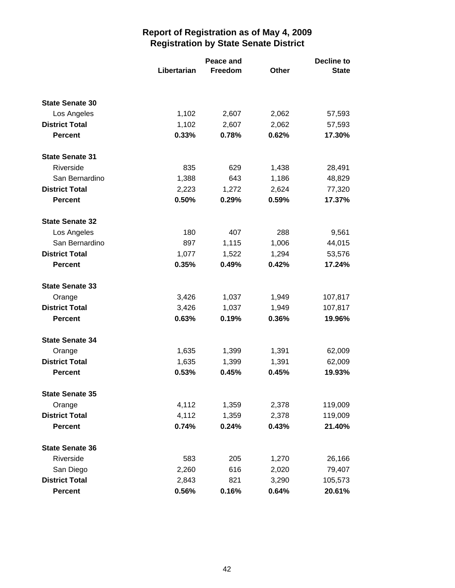|                        | Libertarian | Peace and<br>Freedom | Other | Decline to<br><b>State</b> |
|------------------------|-------------|----------------------|-------|----------------------------|
|                        |             |                      |       |                            |
| <b>State Senate 30</b> |             |                      |       |                            |
| Los Angeles            | 1,102       | 2,607                | 2,062 | 57,593                     |
| <b>District Total</b>  | 1,102       | 2,607                | 2,062 | 57,593                     |
| <b>Percent</b>         | 0.33%       | 0.78%                | 0.62% | 17.30%                     |
| <b>State Senate 31</b> |             |                      |       |                            |
| Riverside              | 835         | 629                  | 1,438 | 28,491                     |
| San Bernardino         | 1,388       | 643                  | 1,186 | 48,829                     |
| <b>District Total</b>  | 2,223       | 1,272                | 2,624 | 77,320                     |
| <b>Percent</b>         | 0.50%       | 0.29%                | 0.59% | 17.37%                     |
| <b>State Senate 32</b> |             |                      |       |                            |
| Los Angeles            | 180         | 407                  | 288   | 9,561                      |
| San Bernardino         | 897         | 1,115                | 1,006 | 44,015                     |
| <b>District Total</b>  | 1,077       | 1,522                | 1,294 | 53,576                     |
| <b>Percent</b>         | 0.35%       | 0.49%                | 0.42% | 17.24%                     |
| <b>State Senate 33</b> |             |                      |       |                            |
| Orange                 | 3,426       | 1,037                | 1,949 | 107,817                    |
| <b>District Total</b>  | 3,426       | 1,037                | 1,949 | 107,817                    |
| <b>Percent</b>         | 0.63%       | 0.19%                | 0.36% | 19.96%                     |
| <b>State Senate 34</b> |             |                      |       |                            |
| Orange                 | 1,635       | 1,399                | 1,391 | 62,009                     |
| <b>District Total</b>  | 1,635       | 1,399                | 1,391 | 62,009                     |
| <b>Percent</b>         | 0.53%       | 0.45%                | 0.45% | 19.93%                     |
| <b>State Senate 35</b> |             |                      |       |                            |
| Orange                 | 4,112       | 1,359                | 2,378 | 119,009                    |
| <b>District Total</b>  | 4,112       | 1,359                | 2,378 | 119,009                    |
| <b>Percent</b>         | 0.74%       | 0.24%                | 0.43% | 21.40%                     |
| <b>State Senate 36</b> |             |                      |       |                            |
| Riverside              | 583         | 205                  | 1,270 | 26,166                     |
| San Diego              | 2,260       | 616                  | 2,020 | 79,407                     |
| <b>District Total</b>  | 2,843       | 821                  | 3,290 | 105,573                    |
| <b>Percent</b>         | 0.56%       | 0.16%                | 0.64% | 20.61%                     |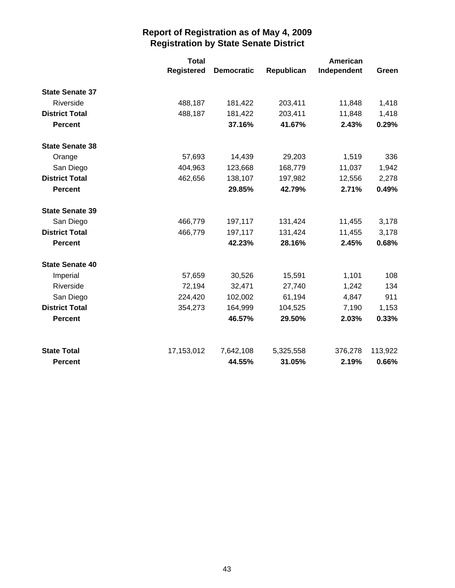|                        | <b>Total</b>      |                   |            | American    |         |
|------------------------|-------------------|-------------------|------------|-------------|---------|
|                        | <b>Registered</b> | <b>Democratic</b> | Republican | Independent | Green   |
| <b>State Senate 37</b> |                   |                   |            |             |         |
| Riverside              | 488,187           | 181,422           | 203,411    | 11,848      | 1,418   |
| <b>District Total</b>  | 488,187           | 181,422           | 203,411    | 11,848      | 1,418   |
| <b>Percent</b>         |                   | 37.16%            | 41.67%     | 2.43%       | 0.29%   |
| <b>State Senate 38</b> |                   |                   |            |             |         |
| Orange                 | 57,693            | 14,439            | 29,203     | 1,519       | 336     |
| San Diego              | 404,963           | 123,668           | 168,779    | 11,037      | 1,942   |
| <b>District Total</b>  | 462,656           | 138,107           | 197,982    | 12,556      | 2,278   |
| <b>Percent</b>         |                   | 29.85%            | 42.79%     | 2.71%       | 0.49%   |
| <b>State Senate 39</b> |                   |                   |            |             |         |
| San Diego              | 466,779           | 197,117           | 131,424    | 11,455      | 3,178   |
| <b>District Total</b>  | 466,779           | 197,117           | 131,424    | 11,455      | 3,178   |
| <b>Percent</b>         |                   | 42.23%            | 28.16%     | 2.45%       | 0.68%   |
| <b>State Senate 40</b> |                   |                   |            |             |         |
| Imperial               | 57,659            | 30,526            | 15,591     | 1,101       | 108     |
| Riverside              | 72,194            | 32,471            | 27,740     | 1,242       | 134     |
| San Diego              | 224,420           | 102,002           | 61,194     | 4,847       | 911     |
| <b>District Total</b>  | 354,273           | 164,999           | 104,525    | 7,190       | 1,153   |
| <b>Percent</b>         |                   | 46.57%            | 29.50%     | 2.03%       | 0.33%   |
| <b>State Total</b>     | 17,153,012        | 7,642,108         | 5,325,558  | 376,278     | 113,922 |
| <b>Percent</b>         |                   | 44.55%            | 31.05%     | 2.19%       | 0.66%   |